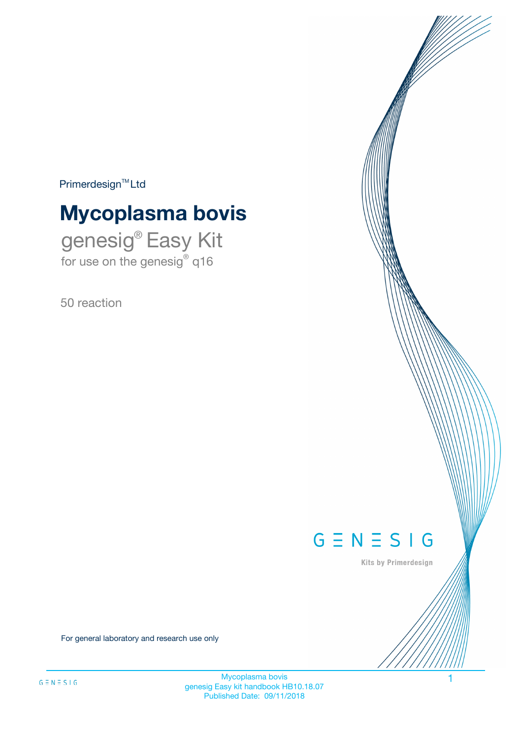$Primerdesign^{\text{TM}}Ltd$ 

# **Mycoplasma bovis**

genesig® Easy Kit for use on the genesig® q16

50 reaction



Kits by Primerdesign

For general laboratory and research use only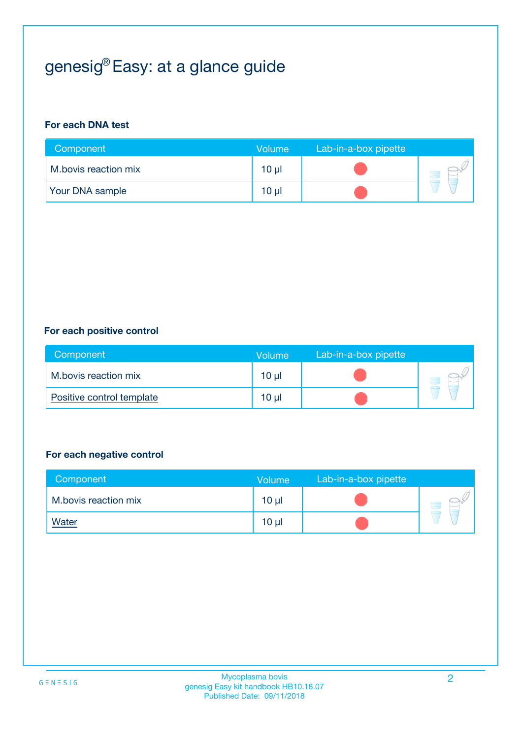# genesig® Easy: at a glance guide

#### **For each DNA test**

| Component              | <b>Volume</b> | Lab-in-a-box pipette |  |
|------------------------|---------------|----------------------|--|
| M.bovis reaction mix   | 10 µl         |                      |  |
| <b>Your DNA sample</b> | $10 \mu$      |                      |  |

#### **For each positive control**

| Component                 | Volume          | Lab-in-a-box pipette |  |
|---------------------------|-----------------|----------------------|--|
| M.bovis reaction mix      | 10 <sub>µ</sub> |                      |  |
| Positive control template | 10 <sub>µ</sub> |                      |  |

#### **For each negative control**

| Component            | Volume          | Lab-in-a-box pipette |  |
|----------------------|-----------------|----------------------|--|
| M.bovis reaction mix | 10 <sub>µ</sub> |                      |  |
| <b>Water</b>         | 10 <sub>µ</sub> |                      |  |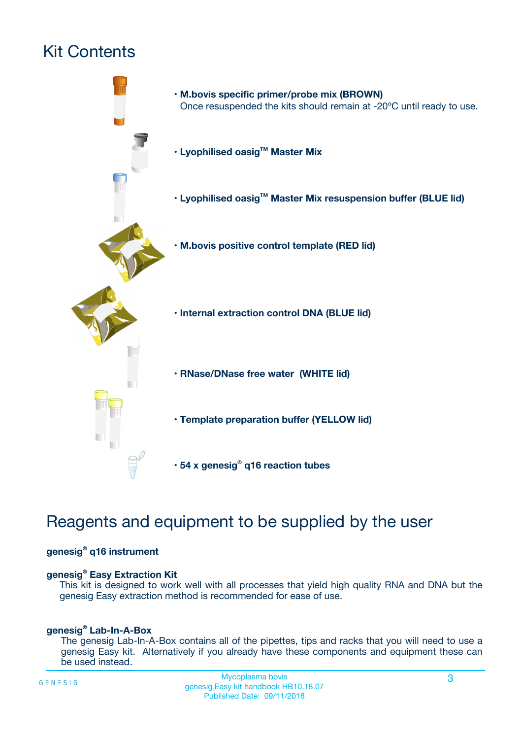# Kit Contents



## Reagents and equipment to be supplied by the user

#### **genesig® q16 instrument**

#### **genesig® Easy Extraction Kit**

This kit is designed to work well with all processes that yield high quality RNA and DNA but the genesig Easy extraction method is recommended for ease of use.

#### **genesig® Lab-In-A-Box**

The genesig Lab-In-A-Box contains all of the pipettes, tips and racks that you will need to use a genesig Easy kit. Alternatively if you already have these components and equipment these can be used instead.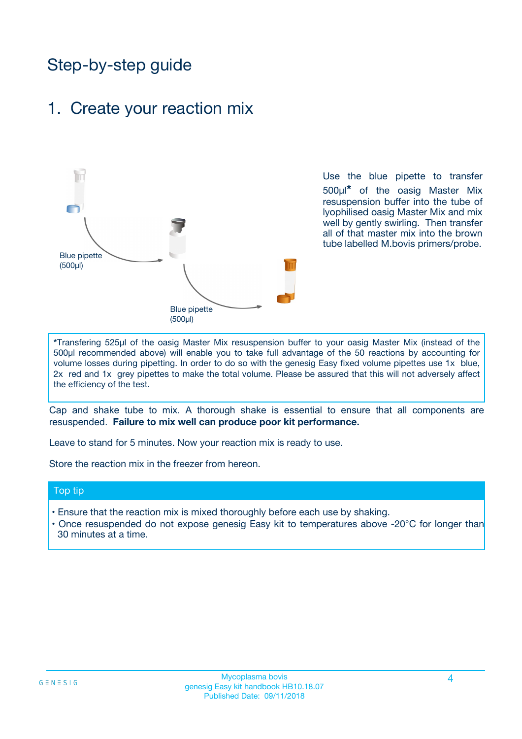## Step-by-step guide

### 1. Create your reaction mix



Use the blue pipette to transfer 500µl**\*** of the oasig Master Mix resuspension buffer into the tube of lyophilised oasig Master Mix and mix well by gently swirling. Then transfer all of that master mix into the brown tube labelled M.bovis primers/probe.

**\***Transfering 525µl of the oasig Master Mix resuspension buffer to your oasig Master Mix (instead of the 500µl recommended above) will enable you to take full advantage of the 50 reactions by accounting for volume losses during pipetting. In order to do so with the genesig Easy fixed volume pipettes use 1x blue, 2x red and 1x grey pipettes to make the total volume. Please be assured that this will not adversely affect the efficiency of the test.

Cap and shake tube to mix. A thorough shake is essential to ensure that all components are resuspended. **Failure to mix well can produce poor kit performance.**

Leave to stand for 5 minutes. Now your reaction mix is ready to use.

Store the reaction mix in the freezer from hereon.

#### Top tip

- Ensure that the reaction mix is mixed thoroughly before each use by shaking.
- **•** Once resuspended do not expose genesig Easy kit to temperatures above -20°C for longer than 30 minutes at a time.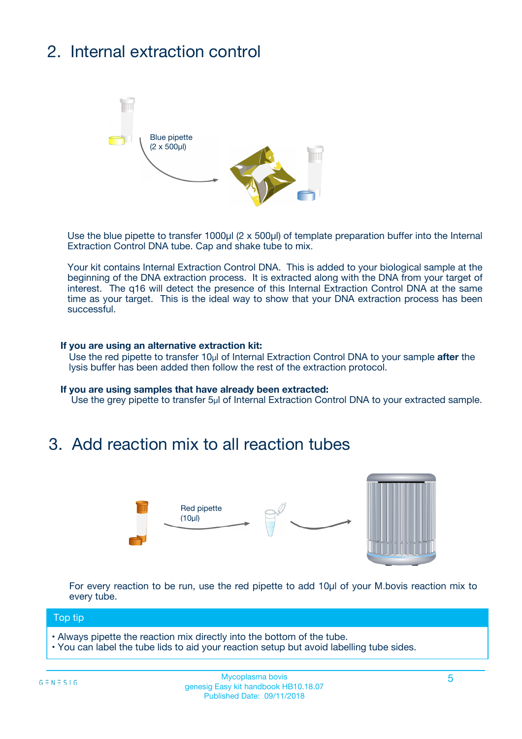# 2. Internal extraction control



Use the blue pipette to transfer 1000µl (2 x 500µl) of template preparation buffer into the Internal Extraction Control DNA tube. Cap and shake tube to mix.

Your kit contains Internal Extraction Control DNA. This is added to your biological sample at the beginning of the DNA extraction process. It is extracted along with the DNA from your target of interest. The q16 will detect the presence of this Internal Extraction Control DNA at the same time as your target. This is the ideal way to show that your DNA extraction process has been **successful.** 

#### **If you are using an alternative extraction kit:**

Use the red pipette to transfer 10µl of Internal Extraction Control DNA to your sample **after** the lysis buffer has been added then follow the rest of the extraction protocol.

#### **If you are using samples that have already been extracted:**

Use the grey pipette to transfer 5µl of Internal Extraction Control DNA to your extracted sample.

### 3. Add reaction mix to all reaction tubes



For every reaction to be run, use the red pipette to add 10µl of your M.bovis reaction mix to every tube.

#### Top tip

- Always pipette the reaction mix directly into the bottom of the tube.
- You can label the tube lids to aid your reaction setup but avoid labelling tube sides.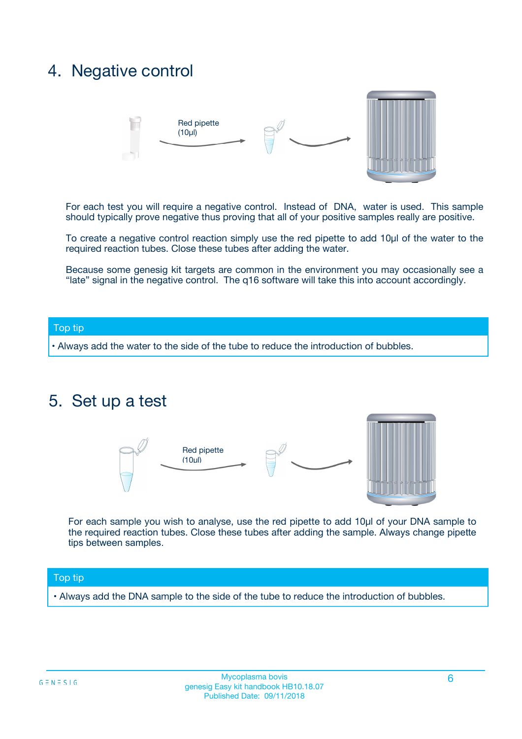## 4. Negative control



For each test you will require a negative control. Instead of DNA, water is used. This sample should typically prove negative thus proving that all of your positive samples really are positive.

To create a negative control reaction simply use the red pipette to add 10µl of the water to the required reaction tubes. Close these tubes after adding the water.

Because some genesig kit targets are common in the environment you may occasionally see a "late" signal in the negative control. The q16 software will take this into account accordingly.

#### Top tip

**•** Always add the water to the side of the tube to reduce the introduction of bubbles.

### 5. Set up a test



For each sample you wish to analyse, use the red pipette to add 10µl of your DNA sample to the required reaction tubes. Close these tubes after adding the sample. Always change pipette tips between samples.

#### Top tip

**•** Always add the DNA sample to the side of the tube to reduce the introduction of bubbles.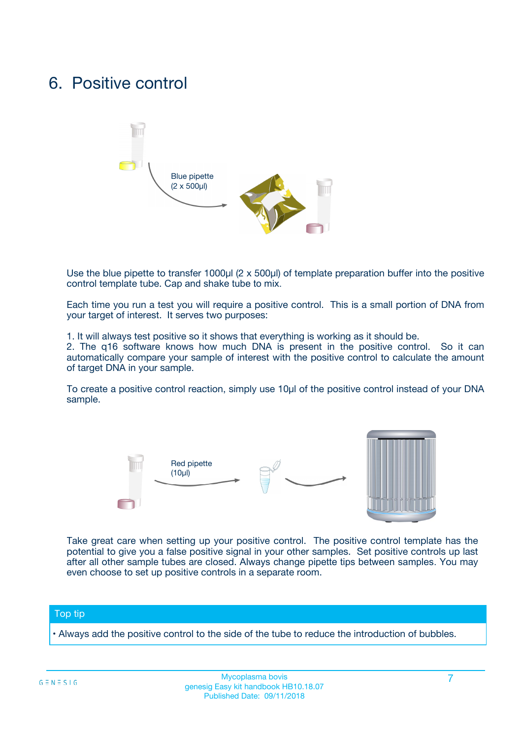## 6. Positive control



Use the blue pipette to transfer 1000µl (2 x 500µl) of template preparation buffer into the positive control template tube. Cap and shake tube to mix.

Each time you run a test you will require a positive control. This is a small portion of DNA from your target of interest. It serves two purposes:

1. It will always test positive so it shows that everything is working as it should be.

2. The q16 software knows how much DNA is present in the positive control. So it can automatically compare your sample of interest with the positive control to calculate the amount of target DNA in your sample.

To create a positive control reaction, simply use 10µl of the positive control instead of your DNA sample.



Take great care when setting up your positive control. The positive control template has the potential to give you a false positive signal in your other samples. Set positive controls up last after all other sample tubes are closed. Always change pipette tips between samples. You may even choose to set up positive controls in a separate room.

#### Top tip

**•** Always add the positive control to the side of the tube to reduce the introduction of bubbles.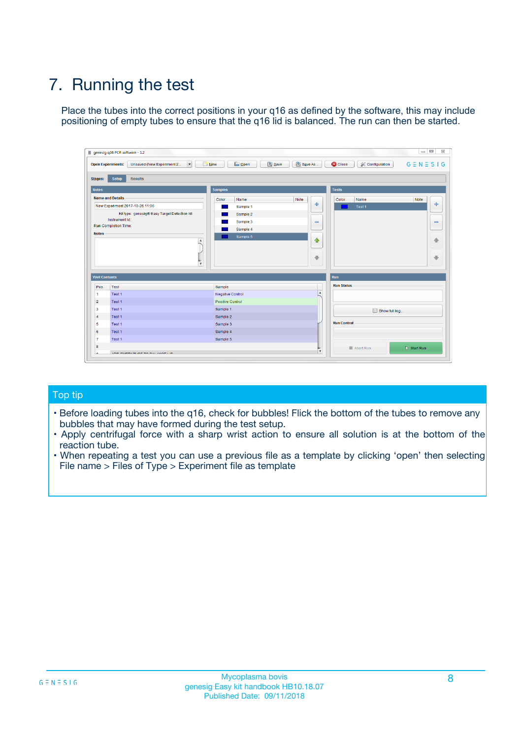# 7. Running the test

Place the tubes into the correct positions in your q16 as defined by the software, this may include positioning of empty tubes to ensure that the q16 lid is balanced. The run can then be started.

| genesig q16 PCR software - 1.2                                               |                                     | $\Box$                                                                                  |
|------------------------------------------------------------------------------|-------------------------------------|-----------------------------------------------------------------------------------------|
| Unsaved (New Experiment 2<br>$\vert \cdot \vert$<br><b>Open Experiments:</b> | <b>D</b> Open<br>Save<br>$\Box$ New | Save As<br><b>C</b> Close<br>$G \equiv N \equiv S \mid G$<br><b>&amp; Configuration</b> |
| Setup<br><b>Results</b><br><b>Stages:</b>                                    |                                     |                                                                                         |
| <b>Notes</b>                                                                 | Samples                             | <b>Tests</b>                                                                            |
| <b>Name and Details</b>                                                      | Color<br>Name                       | Note<br>Color<br>Note<br>Name                                                           |
| New Experiment 2017-10-26 11:06                                              | Sample 1                            | ع<br>条<br>Test 1                                                                        |
| Kit type: genesig® Easy Target Detection kit                                 | Sample 2                            |                                                                                         |
| Instrument Id.:                                                              | Sample 3                            | $\qquad \qquad \blacksquare$<br>$\qquad \qquad \blacksquare$                            |
| Run Completion Time:                                                         | Sample 4                            |                                                                                         |
| <b>Notes</b>                                                                 | Sample 5<br>A<br>v                  | $\triangle$<br>4<br>$\oplus$<br>₩                                                       |
| <b>Well Contents</b>                                                         |                                     | <b>Run</b>                                                                              |
| Pos.<br>Test                                                                 | Sample                              | <b>Run Status</b>                                                                       |
| Test 1<br>-1                                                                 | <b>Negative Control</b>             | $\blacktriangle$                                                                        |
| $\overline{2}$<br>Test 1                                                     | <b>Positive Control</b>             |                                                                                         |
| $\overline{\mathbf{3}}$<br>Test 1                                            | Sample 1                            | Show full log                                                                           |
| Test 1<br>$\overline{4}$                                                     | Sample 2                            |                                                                                         |
| 5<br>Test 1                                                                  | Sample 3                            | <b>Run Control</b>                                                                      |
| 6<br>Test 1                                                                  | Sample 4                            |                                                                                         |
| $\overline{7}$<br>Test 1                                                     | Sample 5                            |                                                                                         |
| 8                                                                            |                                     | $\triangleright$ Start Run<br>Abort Run                                                 |
| <b>JOD FURTY TUDE TO BUILDED IN</b>                                          |                                     | $\overline{\mathbf{v}}$                                                                 |

#### Top tip

- Before loading tubes into the q16, check for bubbles! Flick the bottom of the tubes to remove any bubbles that may have formed during the test setup.
- Apply centrifugal force with a sharp wrist action to ensure all solution is at the bottom of the reaction tube.
- When repeating a test you can use a previous file as a template by clicking 'open' then selecting File name > Files of Type > Experiment file as template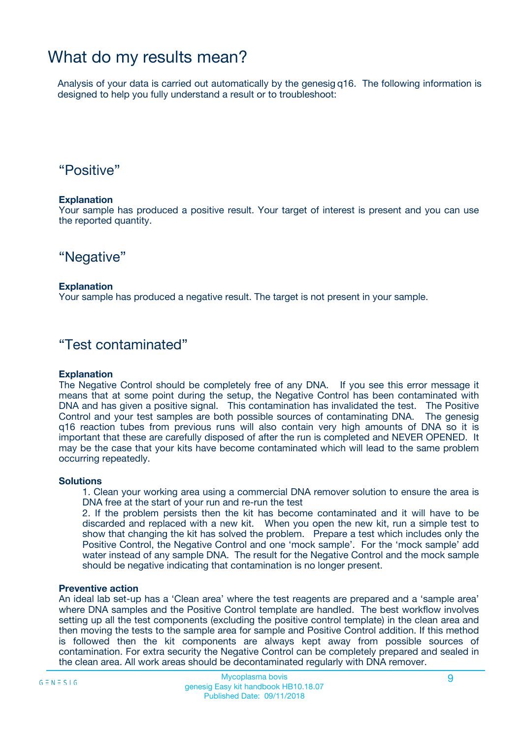## What do my results mean?

Analysis of your data is carried out automatically by the genesig q16. The following information is designed to help you fully understand a result or to troubleshoot:

### "Positive"

#### **Explanation**

Your sample has produced a positive result. Your target of interest is present and you can use the reported quantity.

"Negative"

#### **Explanation**

Your sample has produced a negative result. The target is not present in your sample.

### "Test contaminated"

#### **Explanation**

The Negative Control should be completely free of any DNA. If you see this error message it means that at some point during the setup, the Negative Control has been contaminated with DNA and has given a positive signal. This contamination has invalidated the test. The Positive Control and your test samples are both possible sources of contaminating DNA. The genesig q16 reaction tubes from previous runs will also contain very high amounts of DNA so it is important that these are carefully disposed of after the run is completed and NEVER OPENED. It may be the case that your kits have become contaminated which will lead to the same problem occurring repeatedly.

#### **Solutions**

1. Clean your working area using a commercial DNA remover solution to ensure the area is DNA free at the start of your run and re-run the test

2. If the problem persists then the kit has become contaminated and it will have to be discarded and replaced with a new kit. When you open the new kit, run a simple test to show that changing the kit has solved the problem. Prepare a test which includes only the Positive Control, the Negative Control and one 'mock sample'. For the 'mock sample' add water instead of any sample DNA. The result for the Negative Control and the mock sample should be negative indicating that contamination is no longer present.

#### **Preventive action**

An ideal lab set-up has a 'Clean area' where the test reagents are prepared and a 'sample area' where DNA samples and the Positive Control template are handled. The best workflow involves setting up all the test components (excluding the positive control template) in the clean area and then moving the tests to the sample area for sample and Positive Control addition. If this method is followed then the kit components are always kept away from possible sources of contamination. For extra security the Negative Control can be completely prepared and sealed in the clean area. All work areas should be decontaminated regularly with DNA remover.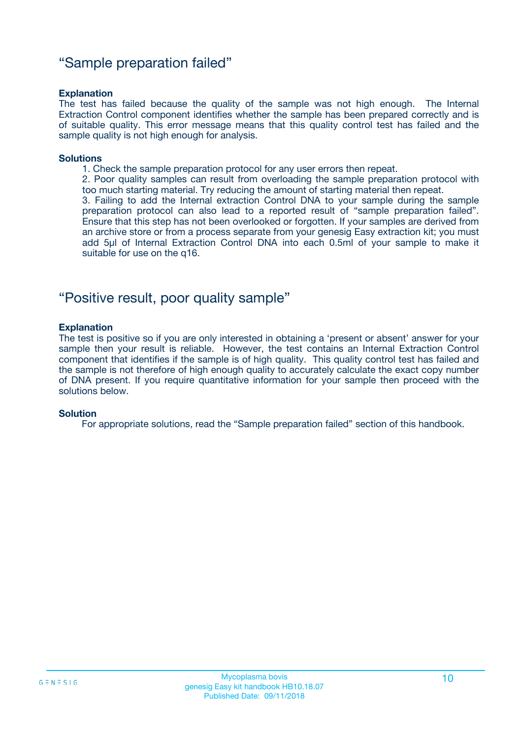### "Sample preparation failed"

#### **Explanation**

The test has failed because the quality of the sample was not high enough. The Internal Extraction Control component identifies whether the sample has been prepared correctly and is of suitable quality. This error message means that this quality control test has failed and the sample quality is not high enough for analysis.

#### **Solutions**

1. Check the sample preparation protocol for any user errors then repeat.

2. Poor quality samples can result from overloading the sample preparation protocol with too much starting material. Try reducing the amount of starting material then repeat.

3. Failing to add the Internal extraction Control DNA to your sample during the sample preparation protocol can also lead to a reported result of "sample preparation failed". Ensure that this step has not been overlooked or forgotten. If your samples are derived from an archive store or from a process separate from your genesig Easy extraction kit; you must add 5µl of Internal Extraction Control DNA into each 0.5ml of your sample to make it suitable for use on the q16.

### "Positive result, poor quality sample"

#### **Explanation**

The test is positive so if you are only interested in obtaining a 'present or absent' answer for your sample then your result is reliable. However, the test contains an Internal Extraction Control component that identifies if the sample is of high quality. This quality control test has failed and the sample is not therefore of high enough quality to accurately calculate the exact copy number of DNA present. If you require quantitative information for your sample then proceed with the solutions below.

#### **Solution**

For appropriate solutions, read the "Sample preparation failed" section of this handbook.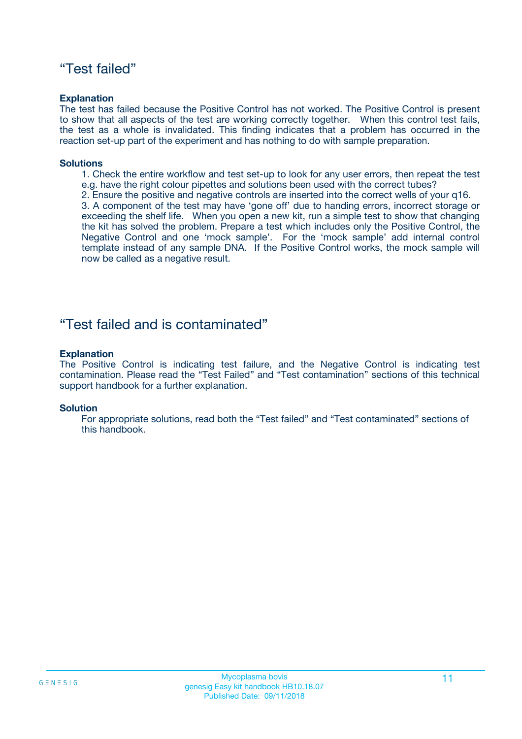### "Test failed"

#### **Explanation**

The test has failed because the Positive Control has not worked. The Positive Control is present to show that all aspects of the test are working correctly together. When this control test fails, the test as a whole is invalidated. This finding indicates that a problem has occurred in the reaction set-up part of the experiment and has nothing to do with sample preparation.

#### **Solutions**

- 1. Check the entire workflow and test set-up to look for any user errors, then repeat the test e.g. have the right colour pipettes and solutions been used with the correct tubes?
- 2. Ensure the positive and negative controls are inserted into the correct wells of your q16.

3. A component of the test may have 'gone off' due to handing errors, incorrect storage or exceeding the shelf life. When you open a new kit, run a simple test to show that changing the kit has solved the problem. Prepare a test which includes only the Positive Control, the Negative Control and one 'mock sample'. For the 'mock sample' add internal control template instead of any sample DNA. If the Positive Control works, the mock sample will now be called as a negative result.

### "Test failed and is contaminated"

#### **Explanation**

The Positive Control is indicating test failure, and the Negative Control is indicating test contamination. Please read the "Test Failed" and "Test contamination" sections of this technical support handbook for a further explanation.

#### **Solution**

For appropriate solutions, read both the "Test failed" and "Test contaminated" sections of this handbook.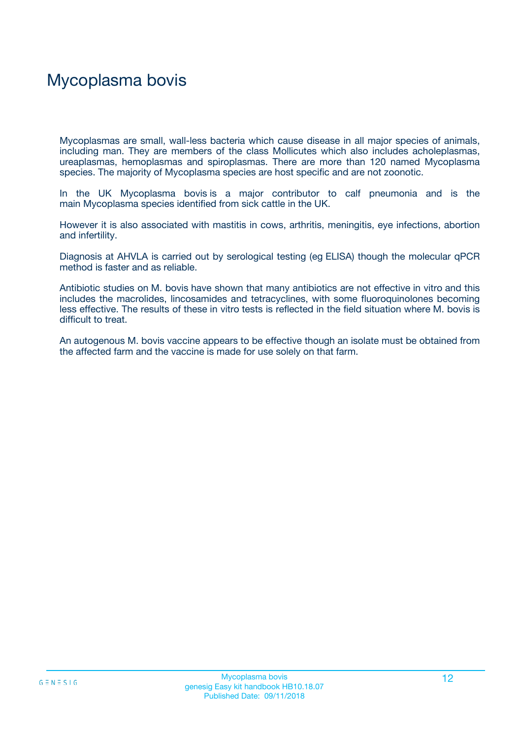# Mycoplasma bovis

Mycoplasmas are small, wall-less bacteria which cause disease in all major species of animals, including man. They are members of the class Mollicutes which also includes acholeplasmas, ureaplasmas, hemoplasmas and spiroplasmas. There are more than 120 named Mycoplasma species. The majority of Mycoplasma species are host specific and are not zoonotic.

In the UK Mycoplasma bovis is a major contributor to calf pneumonia and is the main Mycoplasma species identified from sick cattle in the UK.

However it is also associated with mastitis in cows, arthritis, meningitis, eye infections, abortion and infertility.

Diagnosis at AHVLA is carried out by serological testing (eg ELISA) though the molecular qPCR method is faster and as reliable.

Antibiotic studies on M. bovis have shown that many antibiotics are not effective in vitro and this includes the macrolides, lincosamides and tetracyclines, with some fluoroquinolones becoming less effective. The results of these in vitro tests is reflected in the field situation where M. bovis is difficult to treat.

An autogenous M. bovis vaccine appears to be effective though an isolate must be obtained from the affected farm and the vaccine is made for use solely on that farm.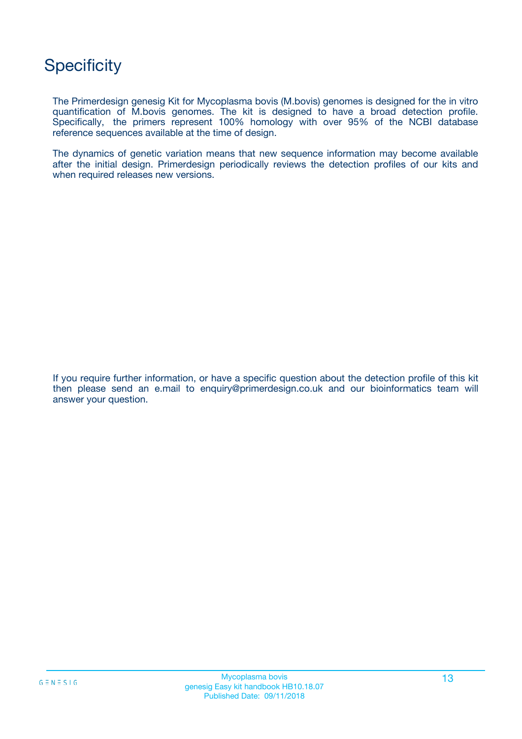## **Specificity**

The Primerdesign genesig Kit for Mycoplasma bovis (M.bovis) genomes is designed for the in vitro quantification of M.bovis genomes. The kit is designed to have a broad detection profile. Specifically, the primers represent 100% homology with over 95% of the NCBI database reference sequences available at the time of design.

The dynamics of genetic variation means that new sequence information may become available after the initial design. Primerdesign periodically reviews the detection profiles of our kits and when required releases new versions.

If you require further information, or have a specific question about the detection profile of this kit then please send an e.mail to enquiry@primerdesign.co.uk and our bioinformatics team will answer your question.